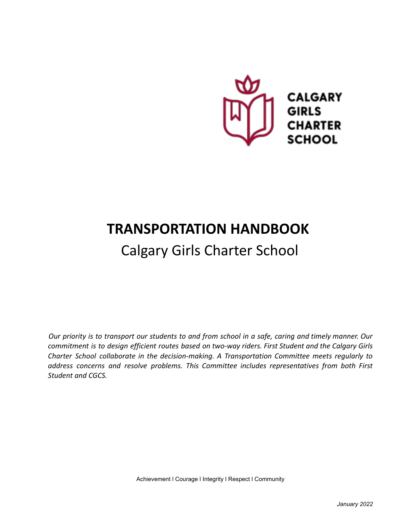

# **TRANSPORTATION HANDBOOK** Calgary Girls Charter School

Our priority is to transport our students to and from school in a safe, caring and timely manner. Our *commitment is to design efficient routes based on two-way riders. First Student and the Calgary Girls Charter School collaborate in the decision-making. A Transportation Committee meets regularly to address concerns and resolve problems. This Committee includes representatives from both First Student and CGCS.*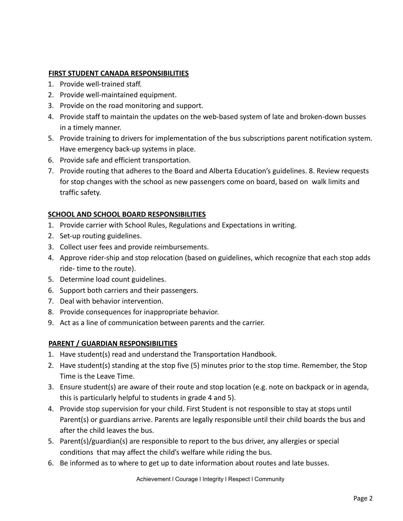## **FIRST STUDENT CANADA RESPONSIBILITIES**

- 1. Provide well-trained staff.
- 2. Provide well-maintained equipment.
- 3. Provide on the road monitoring and support.
- 4. Provide staff to maintain the updates on the web-based system of late and broken-down busses in a timely manner.
- 5. Provide training to drivers for implementation of the bus subscriptions parent notification system. Have emergency back-up systems in place.
- 6. Provide safe and efficient transportation.
- 7. Provide routing that adheres to the Board and Alberta Education's guidelines. 8. Review requests for stop changes with the school as new passengers come on board, based on walk limits and traffic safety.

## **SCHOOL AND SCHOOL BOARD RESPONSIBILITIES**

- 1. Provide carrier with School Rules, Regulations and Expectations in writing.
- 2. Set-up routing guidelines.
- 3. Collect user fees and provide reimbursements.
- 4. Approve rider-ship and stop relocation (based on guidelines, which recognize that each stop adds ride- time to the route).
- 5. Determine load count guidelines.
- 6. Support both carriers and their passengers.
- 7. Deal with behavior intervention.
- 8. Provide consequences for inappropriate behavior.
- 9. Act as a line of communication between parents and the carrier.

## **PARENT / GUARDIAN RESPONSIBILITIES**

- 1. Have student(s) read and understand the Transportation Handbook.
- 2. Have student(s) standing at the stop five (5) minutes prior to the stop time. Remember, the Stop Time is the Leave Time.
- 3. Ensure student(s) are aware of their route and stop location (e.g. note on backpack or in agenda, this is particularly helpful to students in grade 4 and 5).
- 4. Provide stop supervision for your child. First Student is not responsible to stay at stops until Parent(s) or guardians arrive. Parents are legally responsible until their child boards the bus and after the child leaves the bus.
- 5. Parent(s)/guardian(s) are responsible to report to the bus driver, any allergies or special conditions that may affect the child's welfare while riding the bus.
- 6. Be informed as to where to get up to date information about routes and late busses.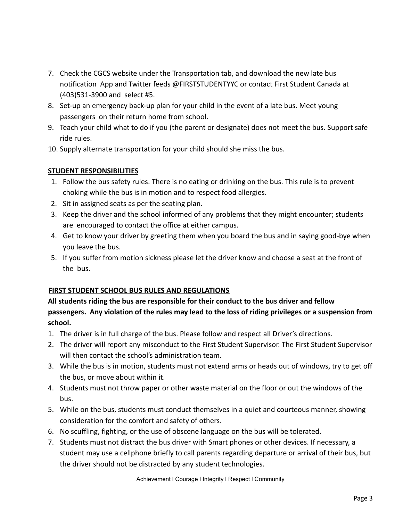- 7. Check the CGCS website under the Transportation tab, and download the new late bus notification App and Twitter feeds @FIRSTSTUDENTYYC or contact First Student Canada at (403)531-3900 and select #5.
- 8. Set-up an emergency back-up plan for your child in the event of a late bus. Meet young passengers on their return home from school.
- 9. Teach your child what to do if you (the parent or designate) does not meet the bus. Support safe ride rules.
- 10. Supply alternate transportation for your child should she miss the bus.

## **STUDENT RESPONSIBILITIES**

- 1. Follow the bus safety rules. There is no eating or drinking on the bus. This rule is to prevent choking while the bus is in motion and to respect food allergies.
- 2. Sit in assigned seats as per the seating plan.
- 3. Keep the driver and the school informed of any problems that they might encounter; students are encouraged to contact the office at either campus.
- 4. Get to know your driver by greeting them when you board the bus and in saying good-bye when you leave the bus.
- 5. If you suffer from motion sickness please let the driver know and choose a seat at the front of the bus.

## **FIRST STUDENT SCHOOL BUS RULES AND REGULATIONS**

# **All students riding the bus are responsible for their conduct to the bus driver and fellow passengers. Any violation of the rules may lead to the loss of riding privileges or a suspension from school.**

- 1. The driver is in full charge of the bus. Please follow and respect all Driver's directions.
- 2. The driver will report any misconduct to the First Student Supervisor. The First Student Supervisor will then contact the school's administration team.
- 3. While the bus is in motion, students must not extend arms or heads out of windows, try to get off the bus, or move about within it.
- 4. Students must not throw paper or other waste material on the floor or out the windows of the bus.
- 5. While on the bus, students must conduct themselves in a quiet and courteous manner, showing consideration for the comfort and safety of others.
- 6. No scuffling, fighting, or the use of obscene language on the bus will be tolerated.
- 7. Students must not distract the bus driver with Smart phones or other devices. If necessary, a student may use a cellphone briefly to call parents regarding departure or arrival of their bus, but the driver should not be distracted by any student technologies.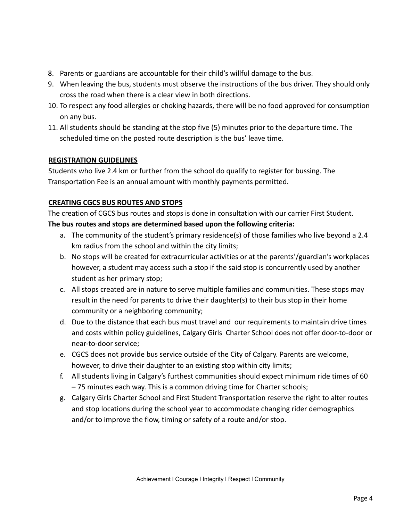- 8. Parents or guardians are accountable for their child's willful damage to the bus.
- 9. When leaving the bus, students must observe the instructions of the bus driver. They should only cross the road when there is a clear view in both directions.
- 10. To respect any food allergies or choking hazards, there will be no food approved for consumption on any bus.
- 11. All students should be standing at the stop five (5) minutes prior to the departure time. The scheduled time on the posted route description is the bus' leave time.

## **REGISTRATION GUIDELINES**

Students who live 2.4 km or further from the school do qualify to register for bussing. The Transportation Fee is an annual amount with monthly payments permitted.

## **CREATING CGCS BUS ROUTES AND STOPS**

The creation of CGCS bus routes and stops is done in consultation with our carrier First Student.

## **The bus routes and stops are determined based upon the following criteria:**

- a. The community of the student's primary residence(s) of those families who live beyond a 2.4 km radius from the school and within the city limits;
- b. No stops will be created for extracurricular activities or at the parents'/guardian's workplaces however, a student may access such a stop if the said stop is concurrently used by another student as her primary stop;
- c. All stops created are in nature to serve multiple families and communities. These stops may result in the need for parents to drive their daughter(s) to their bus stop in their home community or a neighboring community;
- d. Due to the distance that each bus must travel and our requirements to maintain drive times and costs within policy guidelines, Calgary Girls Charter School does not offer door-to-door or near-to-door service;
- e. CGCS does not provide bus service outside of the City of Calgary. Parents are welcome, however, to drive their daughter to an existing stop within city limits;
- f. All students living in Calgary's furthest communities should expect minimum ride times of 60 – 75 minutes each way. This is a common driving time for Charter schools;
- g. Calgary Girls Charter School and First Student Transportation reserve the right to alter routes and stop locations during the school year to accommodate changing rider demographics and/or to improve the flow, timing or safety of a route and/or stop.